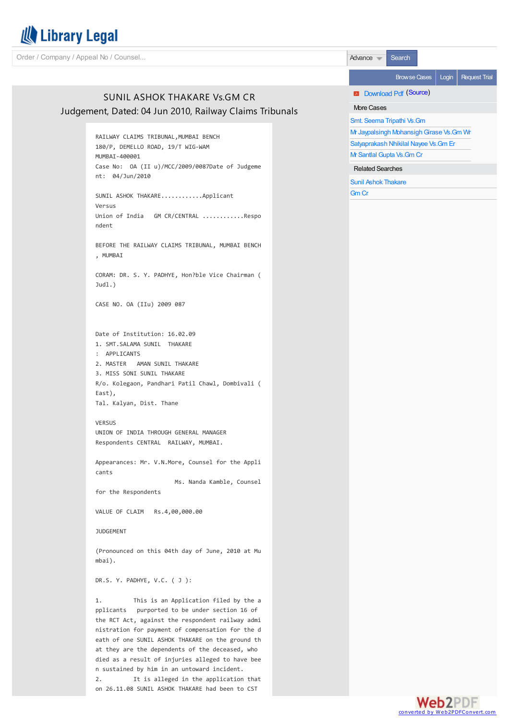

Order / Company / Appeal No / Counsel... Advance Search Search Search Search Search Search Search Search Search

# SUNIL ASHOK THAKARE Vs.GM CR Judgement, Dated: 04 Jun 2010, Railway Claims Tribunals

RAILWAY CLAIMS TRIBUNAL,MUMBAI BENCH 180/P, DEMELLO ROAD, 19/T WIG-WAM MUMBAI-400001 Case No: OA (II u)/MCC/2009/0087Date of Judgeme nt: 04/Jun/2010 SUNIL ASHOK THAKARE............Applicant Versus Union of India GM CR/CENTRAL ............Respo ndent BEFORE THE RAILWAY CLAIMS TRIBUNAL, MUMBAI BENCH , MUMBAI CORAM: DR. S. Y. PADHYE, Hon?ble Vice Chairman ( Judl.) CASE NO. OA (IIu) 2009 087 Date of Institution: 16.02.09 1. SMT.SALAMA SUNIL THAKARE : APPLICANTS 2. MASTER AMAN SUNIL THAKARE 3. MISS SONI SUNIL THAKARE R/o. Kolegaon, Pandhari Patil Chawl, Dombivali ( East), Tal. Kalyan, Dist. Thane VERSUS UNION OF INDIA THROUGH GENERAL MANAGER Respondents CENTRAL RAILWAY, MUMBAI. Appearances: Mr. V.N.More, Counsel for the Appli cants Ms. Nanda Kamble, Counsel for the Respondents VALUE OF CLAIM Rs.4,00,000.00 JUDGEMENT

(Pronounced on this 04th day of June, 2010 at Mu mbai).

DR.S. Y. PADHYE, V.C. ( J ):

1. This is an Application filed by the a pplicants purported to be under section 16 of the RCT Act, against the respondent railway admi nistration for payment of compensation for the d eath of one SUNIL ASHOK THAKARE on the ground th at they are the dependents of the deceased, who died as a result of injuries alleged to have bee n sustained by him in an untoward incident.

2. It is alleged in the application that on 26.11.08 SUNIL ASHOK THAKARE had been to CST

Browse Cases | Login | Request Trial

**E** Download Pdf ([Source](http://www.rct.indianrail.gov.in/rct_showdecison.jsp?findsuit=OA (II u)/MCC/2009/0087&rctc=RCT - MUMBAI))

# More Cases

Smt. Seema [Tripathi](http://librarylegal.com/documentdetail/SMT  SEEMA TRIPATHI Vs GM.aspx?hc=0xE9CE83CCF98C5885995615C6079DF057&VT=Y) Vs.Gm

Mr Jaypalsingh Mohansigh Girase Vs.Gm Wr

[Satyaprakash](http://librarylegal.com/documentdetail/SATYAPRAKASH NHIKILA Vs GM ER.aspx?hc=0x42B51DF3A19854AA75C93DFD53F914DA&VT=Y) Nhikilal Nayee Vs.Gm Er

Mr [Santlal](http://librarylegal.com/documentdetail/MR SANTLAL GUPTA Vs GM CR.aspx?hc=0xFF9F17C892CE445AA33C8CFDAA4DBE54&VT=Y) Gupta Vs.Gm Cr

Related Searches

Sunil Ashok [Thakare](http://librarylegal.com/browse/parties-SUNIL ASHOK THAKARE)

[Gm](http://librarylegal.com/browse/parties-GM CR) Cr

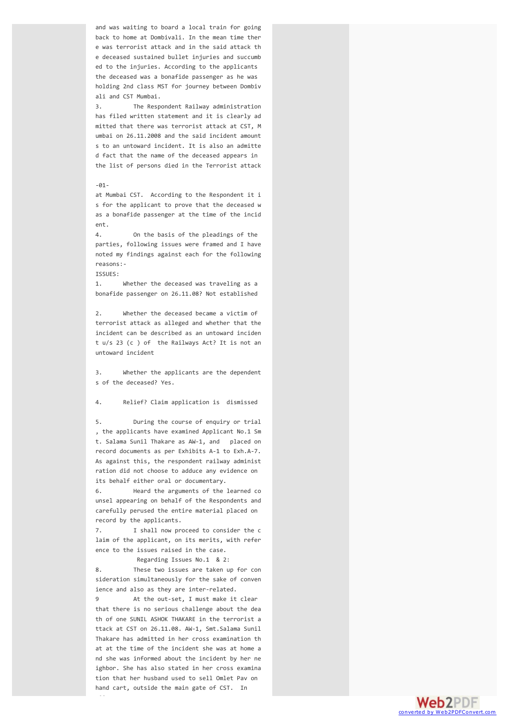and was waiting to board a local train for going back to home at Dombivali. In the mean time ther e was terrorist attack and in the said attack th e deceased sustained bullet injuries and succumb ed to the injuries. According to the applicants the deceased was a bonafide passenger as he was holding 2nd class MST for journey between Dombiv ali and CST Mumbai.

3. The Respondent Railway administration has filed written statement and it is clearly ad mitted that there was terrorist attack at CST, M umbai on 26.11.2008 and the said incident amount s to an untoward incident. It is also an admitte d fact that the name of the deceased appears in the list of persons died in the Terrorist attack

## $-91-$

at Mumbai CST. According to the Respondent it i s for the applicant to prove that the deceased w as a bonafide passenger at the time of the incid ent.

4. On the basis of the pleadings of the parties, following issues were framed and I have noted my findings against each for the following reasons:-

# ISSUES:

1. Whether the deceased was traveling as a bonafide passenger on 26.11.08? Not established

2. Whether the deceased became a victim of terrorist attack as alleged and whether that the incident can be described as an untoward inciden t u/s 23 (c ) of the Railways Act? It is not an untoward incident

3. Whether the applicants are the dependent s of the deceased? Yes.

4. Relief? Claim application is dismissed

5. During the course of enquiry or trial , the applicants have examined Applicant No.1 Sm t. Salama Sunil Thakare as AW-1, and placed on record documents as per Exhibits A-1 to Exh.A-7. As against this, the respondent railway administ ration did not choose to adduce any evidence on its behalf either oral or documentary.

6. Heard the arguments of the learned co unsel appearing on behalf of the Respondents and carefully perused the entire material placed on record by the applicants.

7. I shall now proceed to consider the c laim of the applicant, on its merits, with refer ence to the issues raised in the case.

Regarding Issues No.1 & 2: 8. These two issues are taken up for con sideration simultaneously for the sake of conven ience and also as they are inter-related.

9 At the out-set, I must make it clear that there is no serious challenge about the dea th of one SUNIL ASHOK THAKARE in the terrorist a ttack at CST on 26.11.08. AW-1, Smt.Salama Sunil Thakare has admitted in her cross examination th at at the time of the incident she was at home a nd she was informed about the incident by her ne ighbor. She has also stated in her cross examina tion that her husband used to sell Omlet Pav on hand cart, outside the main gate of CST. In

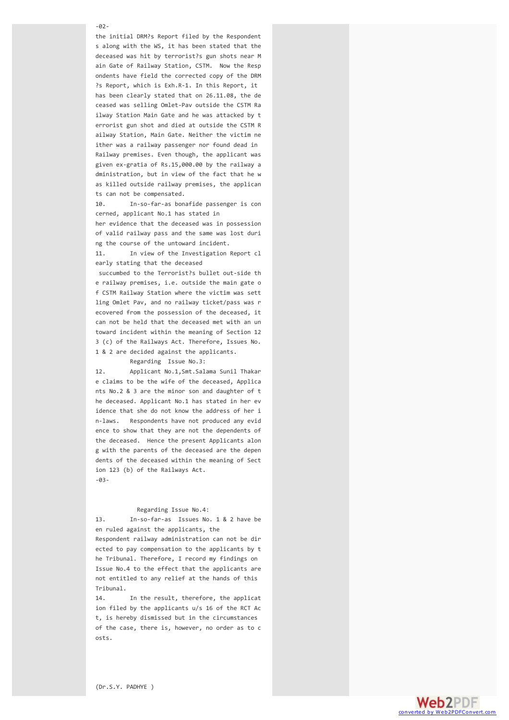#### $-92-$

the initial DRM?s Report filed by the Respondent s along with the WS, it has been stated that the deceased was hit by terrorist?s gun shots near M ain Gate of Railway Station, CSTM. Now the Resp ondents have field the corrected copy of the DRM ?s Report, which is Exh.R-1. In this Report, it has been clearly stated that on 26.11.08, the de ceased was selling Omlet-Pav outside the CSTM Ra ilway Station Main Gate and he was attacked by t errorist gun shot and died at outside the CSTM R ailway Station, Main Gate. Neither the victim ne ither was a railway passenger nor found dead in Railway premises. Even though, the applicant was given ex-gratia of Rs.15,000.00 by the railway a dministration, but in view of the fact that he w as killed outside railway premises, the applican ts can not be compensated.

10. In-so-far-as bonafide passenger is con cerned, applicant No.1 has stated in

her evidence that the deceased was in possession of valid railway pass and the same was lost duri ng the course of the untoward incident.

11. In view of the Investigation Report cl early stating that the deceased

succumbed to the Terrorist?s bullet out-side th e railway premises, i.e. outside the main gate o f CSTM Railway Station where the victim was sett ling Omlet Pav, and no railway ticket/pass was r ecovered from the possession of the deceased, it can not be held that the deceased met with an un toward incident within the meaning of Section 12 3 (c) of the Railways Act. Therefore, Issues No. 1 & 2 are decided against the applicants.

Regarding Issue No.3:

12. Applicant No.1,Smt.Salama Sunil Thakar e claims to be the wife of the deceased, Applica nts No.2 & 3 are the minor son and daughter of t he deceased. Applicant No.1 has stated in her ev idence that she do not know the address of her i n-laws. Respondents have not produced any evid ence to show that they are not the dependents of the deceased. Hence the present Applicants alon g with the parents of the deceased are the depen dents of the deceased within the meaning of Sect ion 123 (b) of the Railways Act. -03-

### Regarding Issue No.4:

13. In-so-far-as Issues No. 1 & 2 have be en ruled against the applicants, the

Respondent railway administration can not be dir ected to pay compensation to the applicants by t he Tribunal. Therefore, I record my findings on Issue No.4 to the effect that the applicants are not entitled to any relief at the hands of this Tribunal.

14. In the result, therefore, the applicat ion filed by the applicants u/s 16 of the RCT Ac t, is hereby dismissed but in the circumstances of the case, there is, however, no order as to c osts.